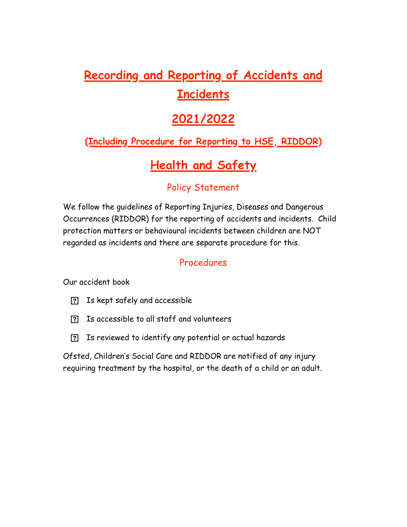# **Recording and Reporting of Accidents and Incidents**

## **2021/2022**

### **(Including Procedure for Reporting to HSE, RIDDOR)**

## **Health and Safety**

### Policy Statement

We follow the guidelines of Reporting Injuries, Diseases and Dangerous Occurrences (RIDDOR) for the reporting of accidents and incidents. Child protection matters or behavioural incidents between children are NOT regarded as incidents and there are separate procedure for this.

#### Procedures

Our accident book

- Is kept safely and accessible
- Is accessible to all staff and volunteers
- Is reviewed to identify any potential or actual hazards

Ofsted, Children's Social Care and RIDDOR are notified of any injury requiring treatment by the hospital, or the death of a child or an adult.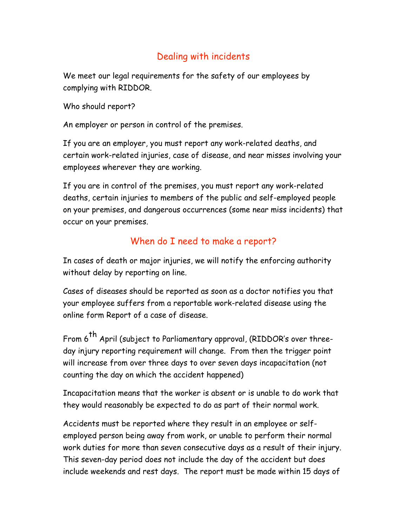#### Dealing with incidents

We meet our legal requirements for the safety of our employees by complying with RIDDOR.

Who should report?

An employer or person in control of the premises.

If you are an employer, you must report any work-related deaths, and certain work-related injuries, case of disease, and near misses involving your employees wherever they are working.

If you are in control of the premises, you must report any work-related deaths, certain injuries to members of the public and self-employed people on your premises, and dangerous occurrences (some near miss incidents) that occur on your premises.

#### When do I need to make a report?

In cases of death or major injuries, we will notify the enforcing authority without delay by reporting on line.

Cases of diseases should be reported as soon as a doctor notifies you that your employee suffers from a reportable work-related disease using the online form Report of a case of disease.

From 6<sup>th</sup> April (subject to Parliamentary approval, (RIDDOR's over threeday injury reporting requirement will change. From then the trigger point will increase from over three days to over seven days incapacitation (not counting the day on which the accident happened)

Incapacitation means that the worker is absent or is unable to do work that they would reasonably be expected to do as part of their normal work.

Accidents must be reported where they result in an employee or selfemployed person being away from work, or unable to perform their normal work duties for more than seven consecutive days as a result of their injury. This seven-day period does not include the day of the accident but does include weekends and rest days. The report must be made within 15 days of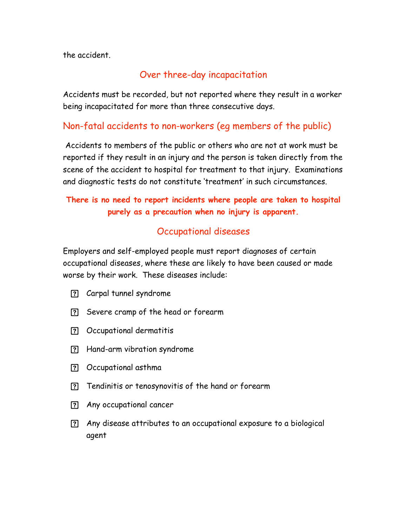the accident.

#### Over three-day incapacitation

Accidents must be recorded, but not reported where they result in a worker being incapacitated for more than three consecutive days.

#### Non-fatal accidents to non-workers (eg members of the public)

 Accidents to members of the public or others who are not at work must be reported if they result in an injury and the person is taken directly from the scene of the accident to hospital for treatment to that injury. Examinations and diagnostic tests do not constitute 'treatment' in such circumstances.

#### **There is no need to report incidents where people are taken to hospital purely as a precaution when no injury is apparent.**

#### Occupational diseases

Employers and self-employed people must report diagnoses of certain occupational diseases, where these are likely to have been caused or made worse by their work. These diseases include:

- Carpal tunnel syndrome
- Severe cramp of the head or forearm
- Occupational dermatitis
- Hand-arm vibration syndrome
- Occupational asthma
- Tendinitis or tenosynovitis of the hand or forearm
- Any occupational cancer
- Any disease attributes to an occupational exposure to a biological agent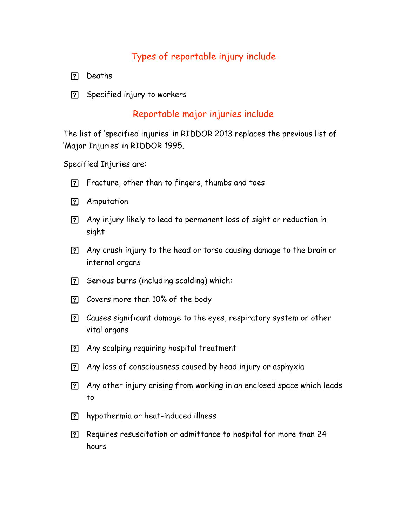#### Types of reportable injury include

- ? Deaths
- Specified injury to workers

#### Reportable major injuries include

The list of 'specified injuries' in RIDDOR 2013 replaces the previous list of 'Major Injuries' in RIDDOR 1995.

Specified Injuries are:

- Fracture, other than to fingers, thumbs and toes
- Amputation
- Any injury likely to lead to permanent loss of sight or reduction in sight
- Any crush injury to the head or torso causing damage to the brain or internal organs
- Serious burns (including scalding) which:
- Covers more than 10% of the body
- Causes significant damage to the eyes, respiratory system or other vital organs
- Any scalping requiring hospital treatment
- Any loss of consciousness caused by head injury or asphyxia
- Any other injury arising from working in an enclosed space which leads to
- hypothermia or heat-induced illness
- Requires resuscitation or admittance to hospital for more than 24 hours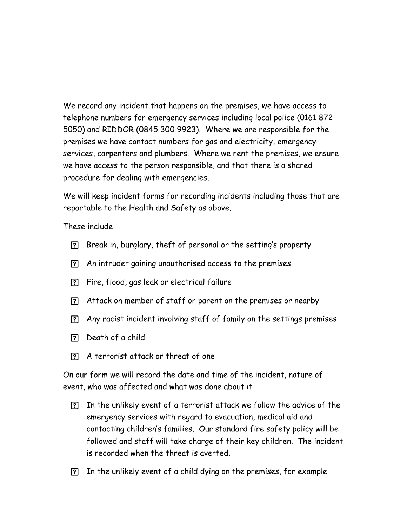We record any incident that happens on the premises, we have access to telephone numbers for emergency services including local police (0161 872 5050) and RIDDOR (0845 300 9923). Where we are responsible for the premises we have contact numbers for gas and electricity, emergency services, carpenters and plumbers. Where we rent the premises, we ensure we have access to the person responsible, and that there is a shared procedure for dealing with emergencies.

We will keep incident forms for recording incidents including those that are reportable to the Health and Safety as above.

These include

- Break in, burglary, theft of personal or the setting's property
- An intruder gaining unauthorised access to the premises
- Fire, flood, gas leak or electrical failure
- Attack on member of staff or parent on the premises or nearby
- Any racist incident involving staff of family on the settings premises
- Death of a child
- A terrorist attack or threat of one

On our form we will record the date and time of the incident, nature of event, who was affected and what was done about it

- In the unlikely event of a terrorist attack we follow the advice of the emergency services with regard to evacuation, medical aid and contacting children's families. Our standard fire safety policy will be followed and staff will take charge of their key children. The incident is recorded when the threat is averted.
- In the unlikely event of a child dying on the premises, for example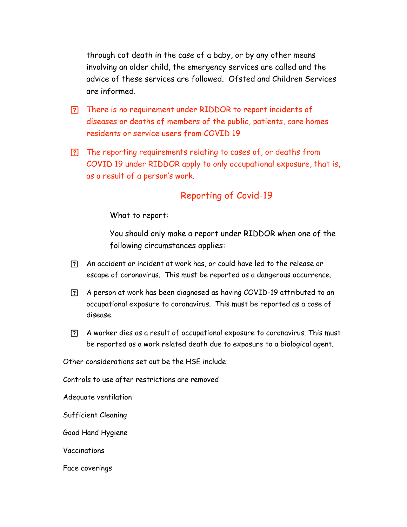through cot death in the case of a baby, or by any other means involving an older child, the emergency services are called and the advice of these services are followed. Ofsted and Children Services are informed.

- There is no requirement under RIDDOR to report incidents of diseases or deaths of members of the public, patients, care homes residents or service users from COVID 19
- The reporting requirements relating to cases of, or deaths from COVID 19 under RIDDOR apply to only occupational exposure, that is, as a result of a person's work.

#### Reporting of Covid-19

What to report:

You should only make a report under RIDDOR when one of the following circumstances applies:

- An accident or incident at work has, or could have led to the release or escape of coronavirus. This must be reported as a dangerous occurrence.
- A person at work has been diagnosed as having COVID-19 attributed to an occupational exposure to coronavirus. This must be reported as a case of disease.
- A worker dies as a result of occupational exposure to coronavirus. This must be reported as a work related death due to exposure to a biological agent.

Other considerations set out be the HSE include:

Controls to use after restrictions are removed

Adequate ventilation

Sufficient Cleaning

Good Hand Hygiene

Vaccinations

Face coverings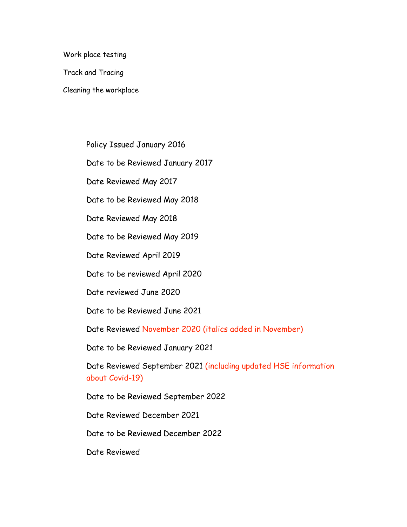Work place testing

Track and Tracing

Cleaning the workplace

Policy Issued January 2016

Date to be Reviewed January 2017

Date Reviewed May 2017

Date to be Reviewed May 2018

Date Reviewed May 2018

Date to be Reviewed May 2019

Date Reviewed April 2019

Date to be reviewed April 2020

Date reviewed June 2020

Date to be Reviewed June 2021

Date Reviewed November 2020 (italics added in November)

Date to be Reviewed January 2021

Date Reviewed September 2021 (including updated HSE information about Covid-19)

Date to be Reviewed September 2022

Date Reviewed December 2021

Date to be Reviewed December 2022

Date Reviewed